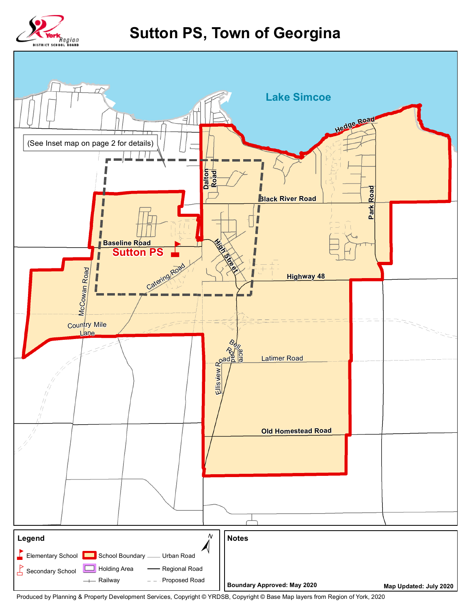

## **Sutton PS, Town of Georgina**



Produced by Planning & Property Development Services, Copyright © YRDSB, Copyright © Base Map layers from Region of York, 2020